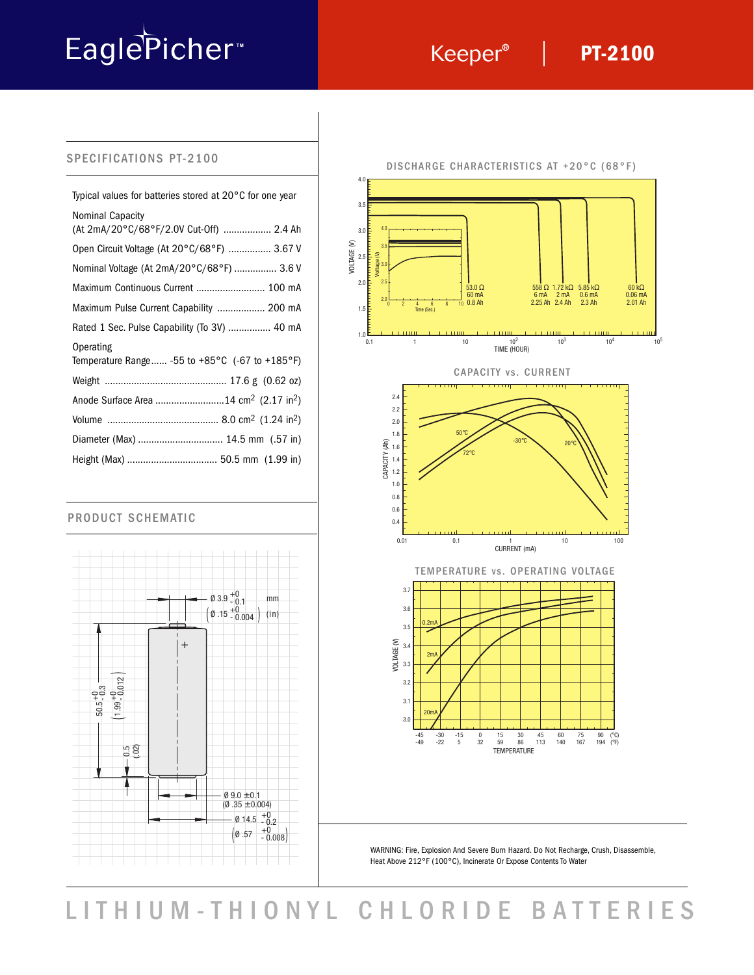# EaglePicher<sup>®</sup>

## **PT-2100**

#### SPECIFICATIONS PT-2100

| Typical values for batteries stored at $20^{\circ}$ C for one year                |
|-----------------------------------------------------------------------------------|
| Nominal Capacity<br>(At 2mA/20°C/68°F/2.0V Cut-Off)  2.4 Ah                       |
| Open Circuit Voltage (At 20°C/68°F)  3.67 V                                       |
| Nominal Voltage (At 2mA/20°C/68°F)  3.6 V                                         |
| Maximum Continuous Current  100 mA                                                |
| Maximum Pulse Current Capability  200 mA                                          |
| Rated 1 Sec. Pulse Capability (To 3V)  40 mA                                      |
| Operating<br>Temperature Range -55 to +85 $^{\circ}$ C (-67 to +185 $^{\circ}$ F) |
|                                                                                   |
| Anode Surface Area 14 cm <sup>2</sup> (2.17 in <sup>2</sup> )                     |
|                                                                                   |
|                                                                                   |
|                                                                                   |

#### PRODUCT SCHEMATIC





WARNING: Fire, Explosion And Severe Burn Hazard. Do Not Recharge, Crush, Disassemble, Heat Above 212°F (100°C), Incinerate Or Expose Contents To Water

LITHIUM-THIONYL CHLORIDE BATTERIES